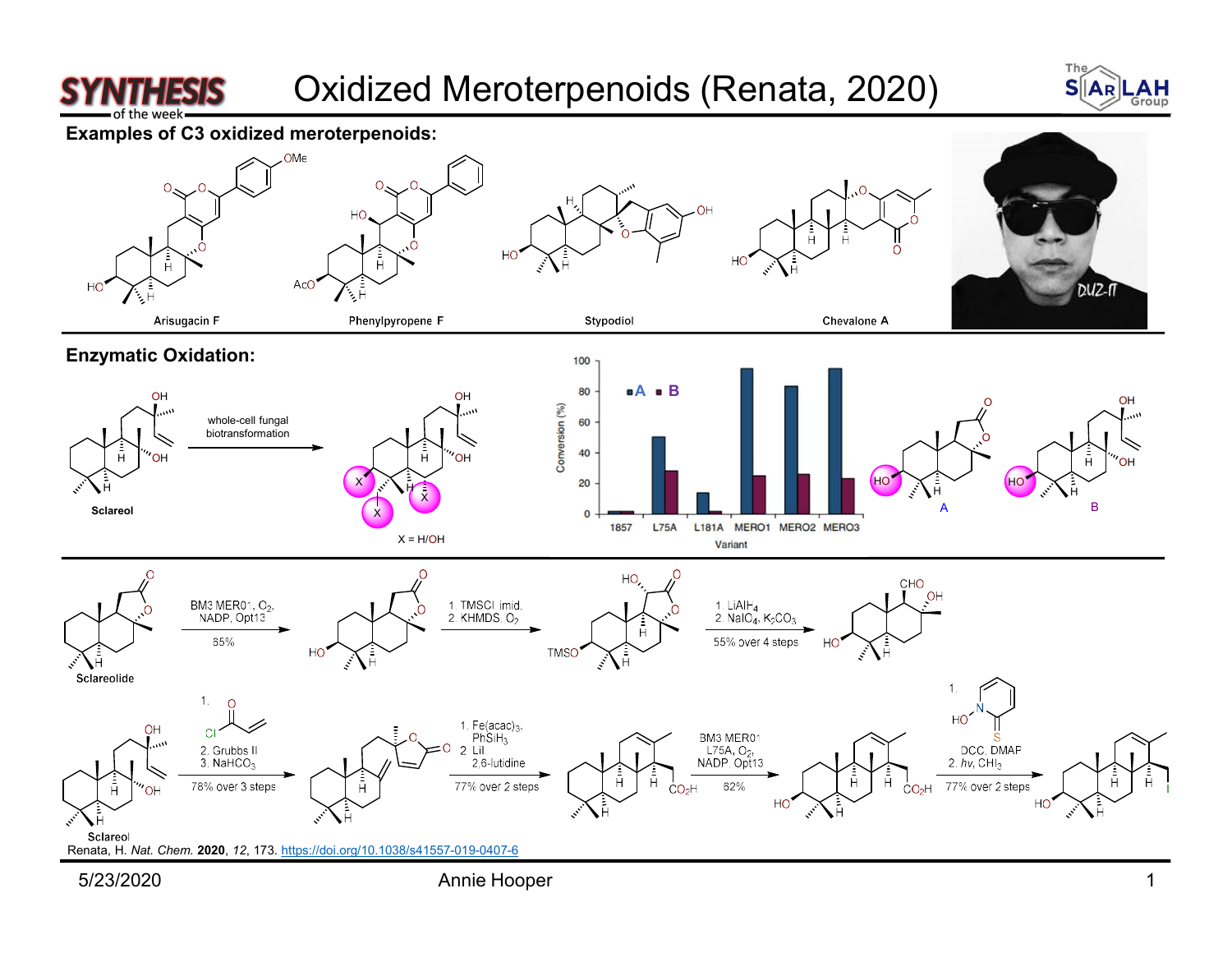

## Oxidized Meroterpenoids (Renata, 2020) SIAR





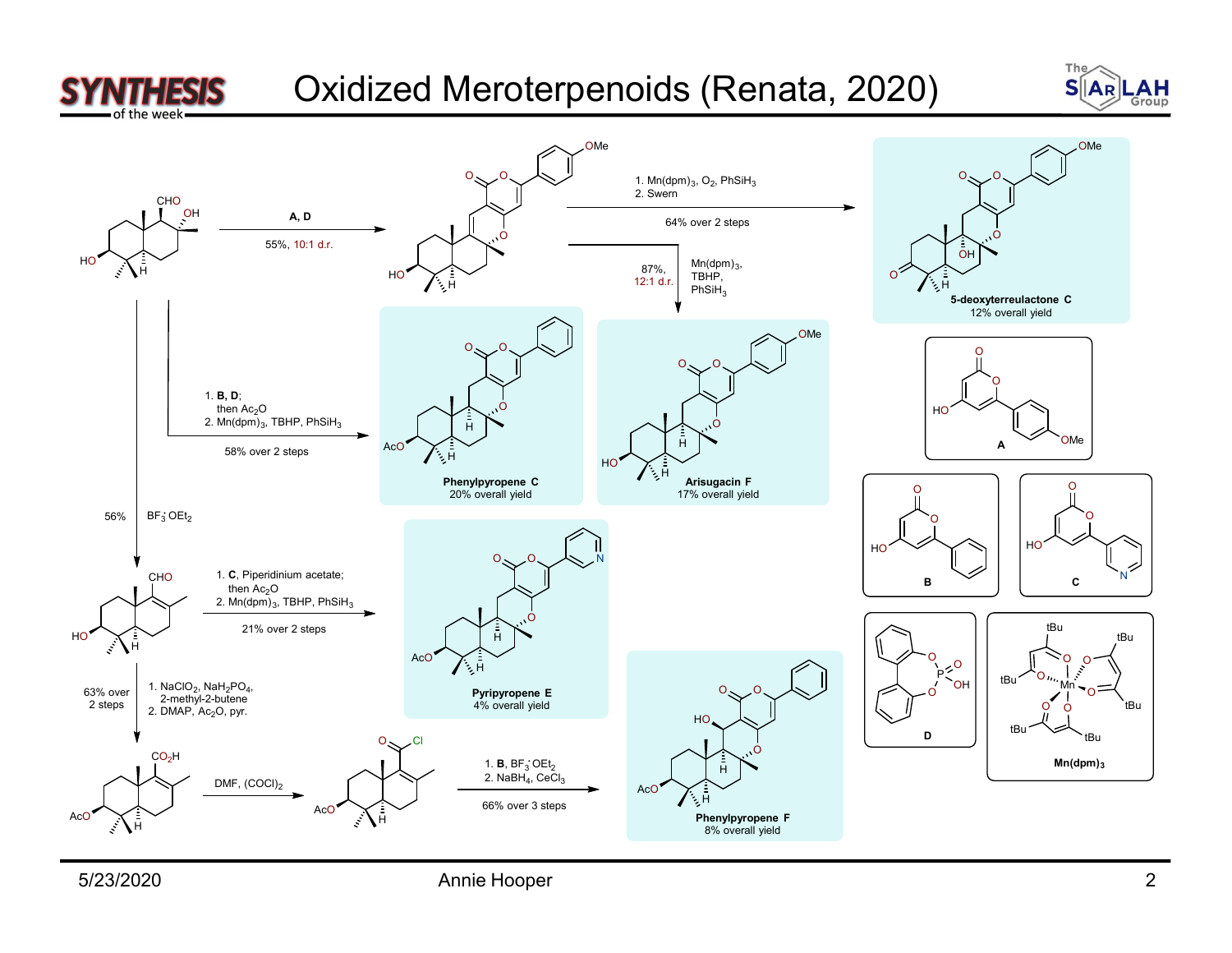

Oxidized Meroterpenoids (Renata, 2020) SIAR